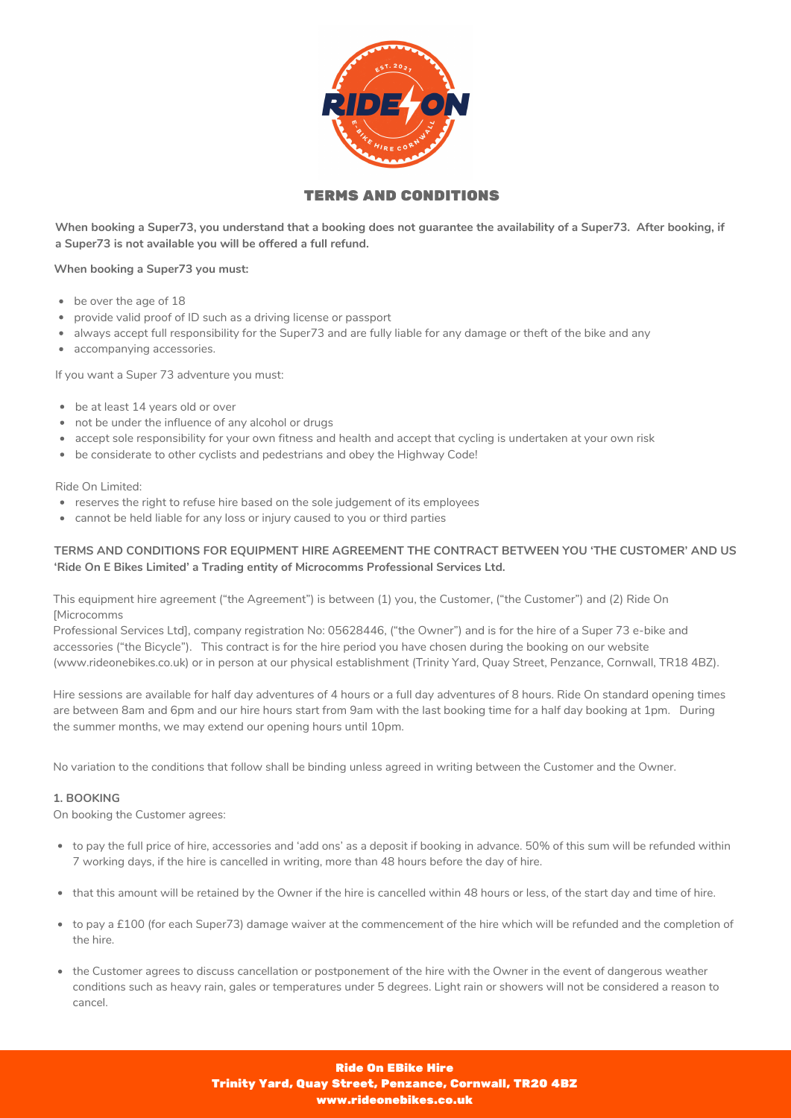

# TERMS AND CONDITIONS

When booking a Super73, you understand that a booking does not guarantee the availability of a Super73. After booking, if **a Super73 is not available you will be offered a full refund.**

**When booking a Super73 you must:**

- be over the age of 18
- provide valid proof of ID such as a driving license or passport
- always accept full responsibility for the Super73 and are fully liable for any damage or theft of the bike and any
- accompanying accessories.

If you want a Super 73 adventure you must:

- be at least 14 years old or over
- not be under the influence of any alcohol or drugs
- accept sole responsibility for your own fitness and health and accept that cycling is undertaken at your own risk
- be considerate to other cyclists and pedestrians and obey the Highway Code!

Ride On Limited:

- reserves the right to refuse hire based on the sole judgement of its employees
- cannot be held liable for any loss or injury caused to you or third parties

# **TERMS AND CONDITIONS FOR EQUIPMENT HIRE AGREEMENT THE CONTRACT BETWEEN YOU 'THE CUSTOMER' AND US 'Ride On E Bikes Limited' a Trading entity of Microcomms Professional Services Ltd.**

This equipment hire agreement ("the Agreement") is between (1) you, the Customer, ("the Customer") and (2) Ride On [Microcomms

Professional Services Ltd], company registration No: 05628446, ("the Owner") and is for the hire of a Super 73 e-bike and accessories ("the Bicycle"). This contract is for the hire period you have chosen during the booking on our website (www.rideonebikes.co.uk) or in person at our physical establishment (Trinity Yard, Quay Street, Penzance, Cornwall, TR18 4BZ).

Hire sessions are available for half day adventures of 4 hours or a full day adventures of 8 hours. Ride On standard opening times are between 8am and 6pm and our hire hours start from 9am with the last booking time for a half day booking at 1pm. During the summer months, we may extend our opening hours until 10pm.

No variation to the conditions that follow shall be binding unless agreed in writing between the Customer and the Owner.

#### **1. BOOKING**

On booking the Customer agrees:

- to pay the full price of hire, accessories and 'add ons' as a deposit if booking in advance. 50% of this sum will be refunded within 7 working days, if the hire is cancelled in writing, more than 48 hours before the day of hire.
- that this amount will be retained by the Owner if the hire is cancelled within 48 hours or less, of the start day and time of hire.
- to pay a £100 (for each Super73) damage waiver at the commencement of the hire which will be refunded and the completion of the hire.
- the Customer agrees to discuss cancellation or postponement of the hire with the Owner in the event of dangerous weather conditions such as heavy rain, gales or temperatures under 5 degrees. Light rain or showers will not be considered a reason to cancel.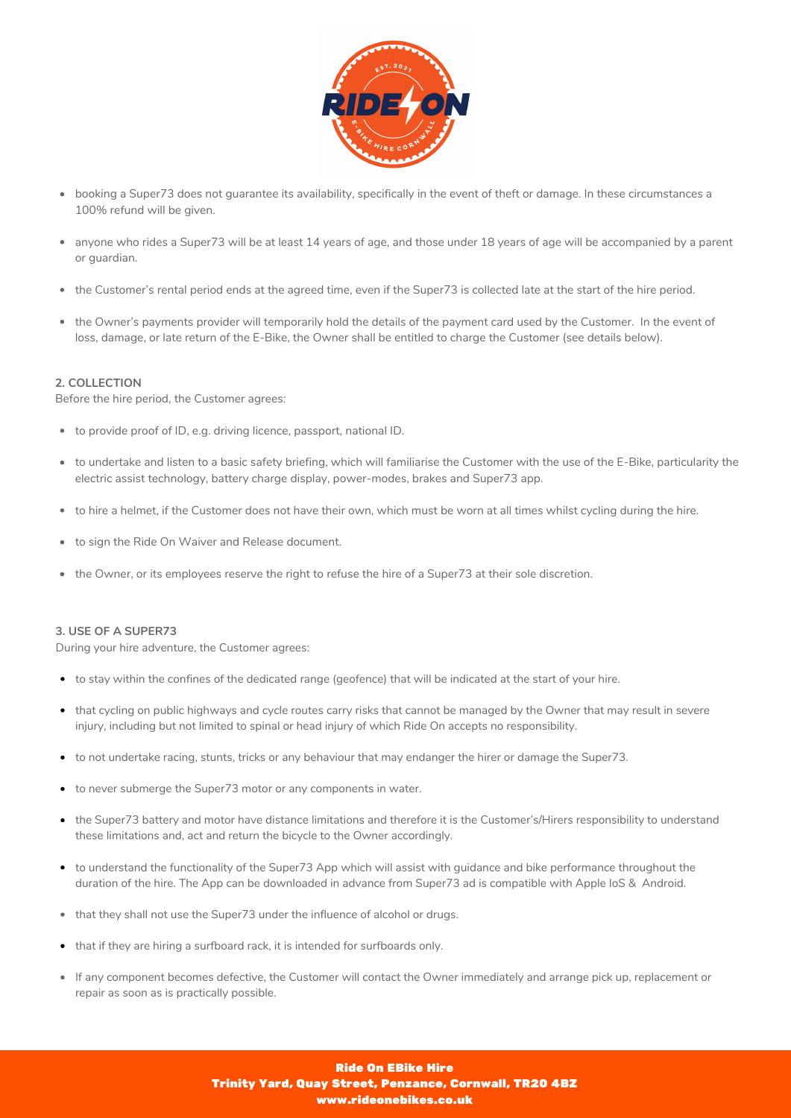

- booking a Super73 does not guarantee its availability, specifically in the event of theft or damage. In these circumstances a 100% refund will be given.
- anyone who rides a Super73 will be at least 14 years of age, and those under 18 years of age will be accompanied by a parent or guardian.
- the Customer's rental period ends at the agreed time, even if the Super73 is collected late at the start of the hire period.
- the Owner's payments provider will temporarily hold the details of the payment card used by the Customer. In the event of  $\bullet$ loss, damage, or late return of the E-Bike, the Owner shall be entitled to charge the Customer (see details below).

### **2. COLLECTION**

Before the hire period, the Customer agrees:

- to provide proof of ID, e.g. driving licence, passport, national ID.
- to undertake and listen to a basic safety briefing, which will familiarise the Customer with the use of the E-Bike, particularity the electric assist technology, battery charge display, power-modes, brakes and Super73 app.
- to hire a helmet, if the Customer does not have their own, which must be worn at all times whilst cycling during the hire.
- to sign the Ride On Waiver and Release document.
- the Owner, or its employees reserve the right to refuse the hire of a Super73 at their sole discretion.

# **3. USE OF A SUPER73**

During your hire adventure, the Customer agrees:

- to stay within the confines of the dedicated range (geofence) that will be indicated at the start of your hire.
- that cycling on public highways and cycle routes carry risks that cannot be managed by the Owner that may result in severe injury, including but not limited to spinal or head injury of which Ride On accepts no responsibility.
- to not undertake racing, stunts, tricks or any behaviour that may endanger the hirer or damage the Super73.
- to never submerge the Super73 motor or any components in water.
- the Super73 battery and motor have distance limitations and therefore it is the Customer's/Hirers responsibility to understand these limitations and, act and return the bicycle to the Owner accordingly.
- to understand the functionality of the Super73 App which will assist with guidance and bike performance throughout the duration of the hire. The App can be downloaded in advance from Super73 ad is compatible with Apple IoS & Android.
- that they shall not use the Super73 under the influence of alcohol or drugs.
- that if they are hiring a surfboard rack, it is intended for surfboards only.
- If any component becomes defective, the Customer will contact the Owner immediately and arrange pick up, replacement or repair as soon as is practically possible.

## Ride On EBike Hire Trinity Yard, Quay Street, Penzance, Cornwall, TR20 4BZ www.rideonebikes.co.uk